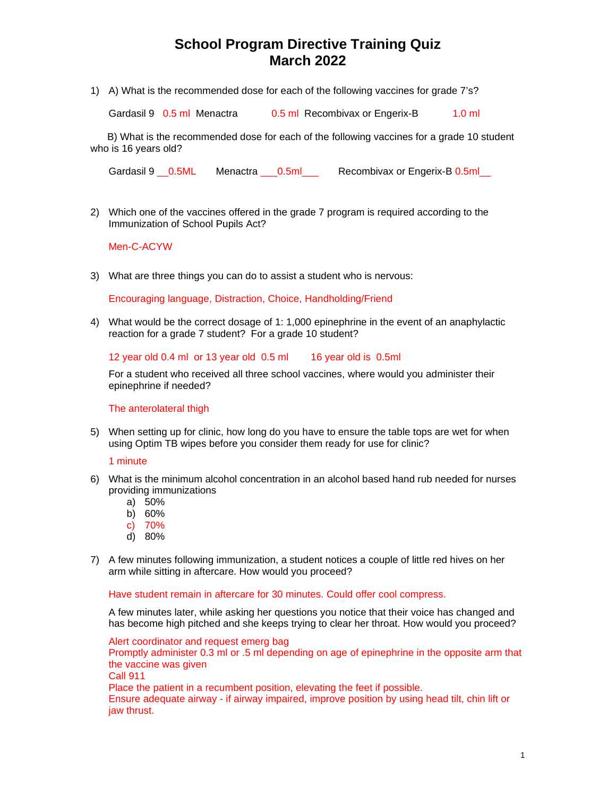# **School Program Directive Training Quiz March 2022**

1) A) What is the recommended dose for each of the following vaccines for grade 7's?

Gardasil 9 0.5 ml Menactra 0.5 ml Recombivax or Engerix-B 1.0 ml

 B) What is the recommended dose for each of the following vaccines for a grade 10 student who is 16 years old?

Gardasil 9 \_\_0.5ML Menactra \_\_\_0.5ml decombivax or Engerix-B 0.5ml

2) Which one of the vaccines offered in the grade 7 program is required according to the Immunization of School Pupils Act?

## Men-C-ACYW

3) What are three things you can do to assist a student who is nervous:

Encouraging language, Distraction, Choice, Handholding/Friend

4) What would be the correct dosage of 1: 1,000 epinephrine in the event of an anaphylactic reaction for a grade 7 student? For a grade 10 student?

#### 12 year old 0.4 ml or 13 year old 0.5 ml 16 year old is 0.5ml

For a student who received all three school vaccines, where would you administer their epinephrine if needed?

### The anterolateral thigh

5) When setting up for clinic, how long do you have to ensure the table tops are wet for when using Optim TB wipes before you consider them ready for use for clinic?

### 1 minute

- 6) What is the minimum alcohol concentration in an alcohol based hand rub needed for nurses providing immunizations
	- a) 50%
	- b) 60%
	- c) 70%
	- d) 80%
- 7) A few minutes following immunization, a student notices a couple of little red hives on her arm while sitting in aftercare. How would you proceed?

#### Have student remain in aftercare for 30 minutes. Could offer cool compress.

A few minutes later, while asking her questions you notice that their voice has changed and has become high pitched and she keeps trying to clear her throat. How would you proceed?

Alert coordinator and request emerg bag Promptly administer 0.3 ml or .5 ml depending on age of epinephrine in the opposite arm that the vaccine was given Call 911 Place the patient in a recumbent position, elevating the feet if possible. Ensure adequate airway - if airway impaired, improve position by using head tilt, chin lift or jaw thrust.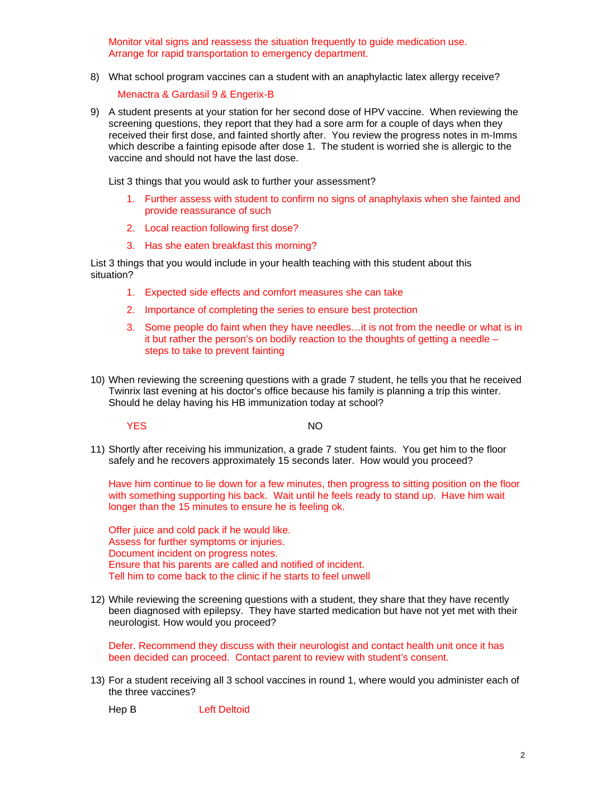Monitor vital signs and reassess the situation frequently to guide medication use. Arrange for rapid transportation to emergency department.

8) What school program vaccines can a student with an anaphylactic latex allergy receive?

Menactra & Gardasil 9 & Engerix-B

9) A student presents at your station for her second dose of HPV vaccine. When reviewing the screening questions, they report that they had a sore arm for a couple of days when they received their first dose, and fainted shortly after. You review the progress notes in m-Imms which describe a fainting episode after dose 1. The student is worried she is allergic to the vaccine and should not have the last dose.

List 3 things that you would ask to further your assessment?

- 1. Further assess with student to confirm no signs of anaphylaxis when she fainted and provide reassurance of such
- 2. Local reaction following first dose?
- 3. Has she eaten breakfast this morning?

List 3 things that you would include in your health teaching with this student about this situation?

- 1. Expected side effects and comfort measures she can take
- 2. Importance of completing the series to ensure best protection
- 3. Some people do faint when they have needles…it is not from the needle or what is in it but rather the person's on bodily reaction to the thoughts of getting a needle – steps to take to prevent fainting
- 10) When reviewing the screening questions with a grade 7 student, he tells you that he received Twinrix last evening at his doctor's office because his family is planning a trip this winter. Should he delay having his HB immunization today at school?

**YES** NO

11) Shortly after receiving his immunization, a grade 7 student faints. You get him to the floor safely and he recovers approximately 15 seconds later. How would you proceed?

Have him continue to lie down for a few minutes, then progress to sitting position on the floor with something supporting his back. Wait until he feels ready to stand up. Have him wait longer than the 15 minutes to ensure he is feeling ok.

Offer juice and cold pack if he would like. Assess for further symptoms or injuries. Document incident on progress notes. Ensure that his parents are called and notified of incident. Tell him to come back to the clinic if he starts to feel unwell

12) While reviewing the screening questions with a student, they share that they have recently been diagnosed with epilepsy. They have started medication but have not yet met with their neurologist. How would you proceed?

Defer. Recommend they discuss with their neurologist and contact health unit once it has been decided can proceed. Contact parent to review with student's consent.

13) For a student receiving all 3 school vaccines in round 1, where would you administer each of the three vaccines?

Hep B Left Deltoid